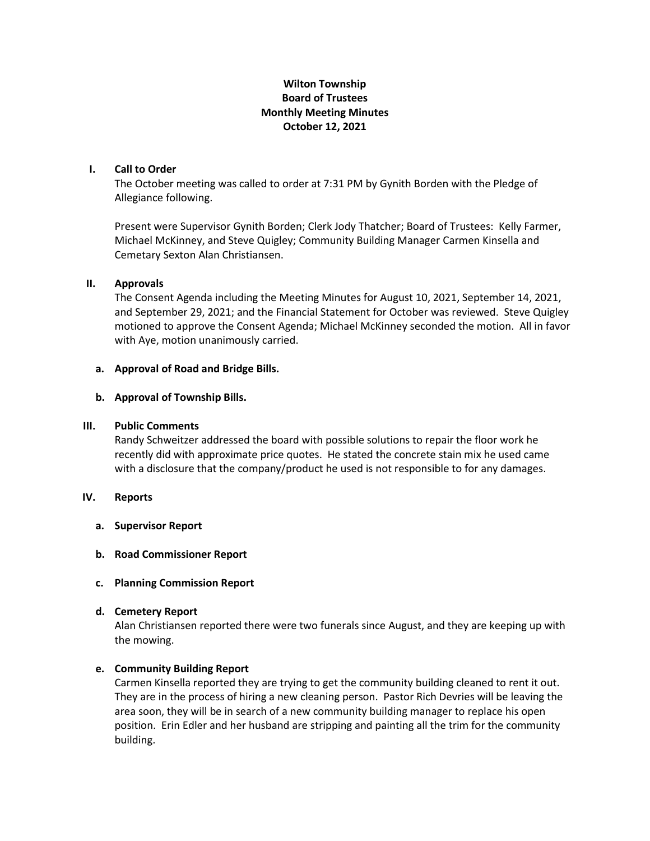# **Wilton Township Board of Trustees Monthly Meeting Minutes October 12, 2021**

# **I. Call to Order**

The October meeting was called to order at 7:31 PM by Gynith Borden with the Pledge of Allegiance following.

Present were Supervisor Gynith Borden; Clerk Jody Thatcher; Board of Trustees: Kelly Farmer, Michael McKinney, and Steve Quigley; Community Building Manager Carmen Kinsella and Cemetary Sexton Alan Christiansen.

### **II. Approvals**

The Consent Agenda including the Meeting Minutes for August 10, 2021, September 14, 2021, and September 29, 2021; and the Financial Statement for October was reviewed. Steve Quigley motioned to approve the Consent Agenda; Michael McKinney seconded the motion. All in favor with Aye, motion unanimously carried.

### **a. Approval of Road and Bridge Bills.**

### **b. Approval of Township Bills.**

#### **III. Public Comments**

Randy Schweitzer addressed the board with possible solutions to repair the floor work he recently did with approximate price quotes. He stated the concrete stain mix he used came with a disclosure that the company/product he used is not responsible to for any damages.

## **IV. Reports**

- **a. Supervisor Report**
- **b. Road Commissioner Report**
- **c. Planning Commission Report**
- **d. Cemetery Report**

Alan Christiansen reported there were two funerals since August, and they are keeping up with the mowing.

#### **e. Community Building Report**

Carmen Kinsella reported they are trying to get the community building cleaned to rent it out. They are in the process of hiring a new cleaning person. Pastor Rich Devries will be leaving the area soon, they will be in search of a new community building manager to replace his open position. Erin Edler and her husband are stripping and painting all the trim for the community building.